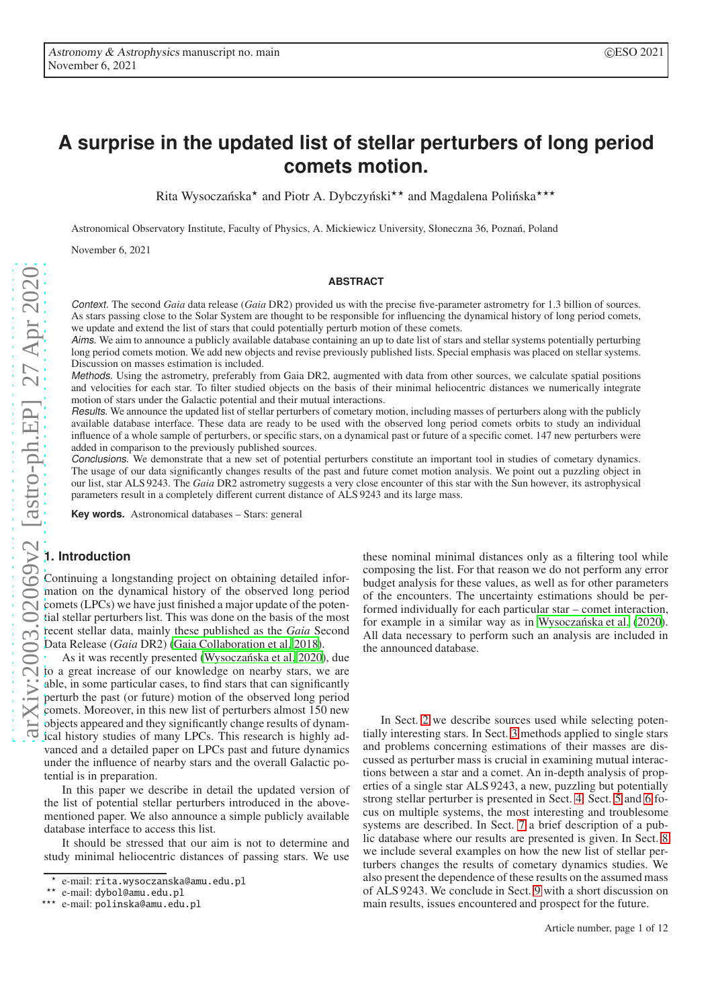# **A surprise in the updated list of stellar perturbers of long period comets motion.**

Rita Wysoczańska<sup>\*</sup> and Piotr A. Dybczyński<sup>\*\*</sup> and Magdalena Polińska<sup>\*\*\*</sup>

Astronomical Observatory Institute, Faculty of Physics, A. Mickiewicz University, Słoneczna 36, Poznan, Poland ´

November 6, 2021

#### **ABSTRACT**

Context. The second *Gaia* data release (*Gaia* DR2) provided us with the precise five-parameter astrometry for 1.3 billion of sources. As stars passing close to the Solar System are thought to be responsible for influencing the dynamical history of long period comets, we update and extend the list of stars that could potentially perturb motion of these comets.

Aims. We aim to announce a publicly available database containing an up to date list of stars and stellar systems potentially perturbing long period comets motion. We add new objects and revise previously published lists. Special emphasis was placed on stellar systems. Discussion on masses estimation is included.

Methods. Using the astrometry, preferably from Gaia DR2, augmented with data from other sources, we calculate spatial positions and velocities for each star. To filter studied objects on the basis of their minimal heliocentric distances we numerically integrate motion of stars under the Galactic potential and their mutual interactions.

Results. We announce the updated list of stellar perturbers of cometary motion, including masses of perturbers along with the publicly available database interface. These data are ready to be used with the observed long period comets orbits to study an individual influence of a whole sample of perturbers, or specific stars, on a dynamical past or future of a specific comet. 147 new perturbers were added in comparison to the previously published sources.

Conclusions. We demonstrate that a new set of potential perturbers constitute an important tool in studies of cometary dynamics. The usage of our data significantly changes results of the past and future comet motion analysis. We point out a puzzling object in our list, star ALS 9243. The *Gaia* DR2 astrometry suggests a very close encounter of this star with the Sun however, its astrophysical parameters result in a completely different current distance of ALS 9243 and its large mass.

**Key words.** Astronomical databases – Stars: general

# **1. Introduction**

Continuing a longstanding project on obtaining detailed information on the dynamical history of the observed long period comets (LPCs) we have just finished a major update of the potential stellar perturbers list. This was done on the basis of the most recent stellar data, mainly these published as the *Gaia* Second Data Release (*Gaia* DR2) [\(Gaia Collaboration et al. 2018\)](#page-10-0).

As it was recently presented (Wysoczańska et al. 2020), due to a great increase of our knowledge on nearby stars, we are able, in some particular cases, to find stars that can significantly perturb the past (or future) motion of the observed long period comets. Moreover, in this new list of perturbers almost 150 new objects appeared and they significantly change results of dynamical history studies of many LPCs. This research is highly advanced and a detailed paper on LPCs past and future dynamics under the influence of nearby stars and the overall Galactic potential is in preparation.

In this paper we describe in detail the updated version of the list of potential stellar perturbers introduced in the abovementioned paper. We also announce a simple publicly available database interface to access this list.

It should be stressed that our aim is not to determine and study minimal heliocentric distances of passing stars. We use

these nominal minimal distances only as a filtering tool while composing the list. For that reason we do not perform any error budget analysis for these values, as well as for other parameters of the encounters. The uncertainty estimations should be performed individually for each particular star – comet interaction, for example in a similar way as in Wysoczańska et al. [\(2020\)](#page-11-0). All data necessary to perform such an analysis are included in the announced database.

In Sect. [2](#page-1-0) we describe sources used while selecting potentially interesting stars. In Sect. [3](#page-1-1) methods applied to single stars and problems concerning estimations of their masses are discussed as perturber mass is crucial in examining mutual interactions between a star and a comet. An in-depth analysis of properties of a single star ALS 9243, a new, puzzling but potentially strong stellar perturber is presented in Sect. [4.](#page-2-0) Sect. [5](#page-4-0) and [6](#page-5-0) focus on multiple systems, the most interesting and troublesome systems are described. In Sect. [7](#page-7-0) a brief description of a public database where our results are presented is given. In Sect. [8](#page-8-0) we include several examples on how the new list of stellar perturbers changes the results of cometary dynamics studies. We also present the dependence of these results on the assumed mass of ALS 9243. We conclude in Sect. [9](#page-10-1) with a short discussion on main results, issues encountered and prospect for the future.

<sup>⋆</sup> e-mail: rita.wysoczanska@amu.edu.pl

e-mail: dybol@amu.edu.pl

<sup>⋆⋆⋆</sup> e-mail: polinska@amu.edu.pl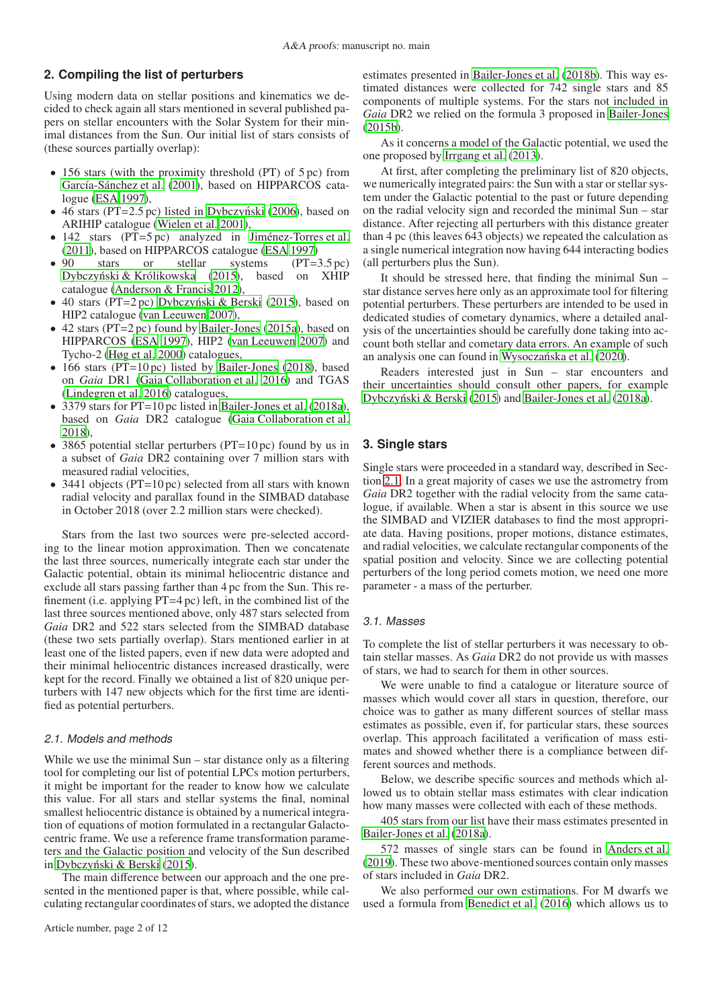# <span id="page-1-0"></span>**2. Compiling the list of perturbers**

Using modern data on stellar positions and kinematics we decided to check again all stars mentioned in several published papers on stellar encounters with the Solar System for their minimal distances from the Sun. Our initial list of stars consists of (these sources partially overlap):

- 156 stars (with the proximity threshold (PT) of 5 pc) from [García-Sánchez et al. \(2001](#page-10-2)), based on HIPPARCOS catalogue [\(ESA 1997\)](#page-10-3),
- 46 stars ( $PT=2.5$  pc) listed in Dybczyński (2006), based on ARIHIP catalogue [\(Wielen et al. 2001](#page-11-1)),
- 142 stars (PT=5 pc) analyzed in [Jiménez-Torres et al.](#page-10-5) [\(2011](#page-10-5)), based on HIPPARCOS catalogue [\(ESA 1997\)](#page-10-3)
- 90 stars or stellar systems (PT=3.5 pc) [Dybczynski & Królikowska](#page-10-6) [\(2015\)](#page-10-6), based on XHIP ´ catalogue [\(Anderson & Francis 2012\)](#page-10-7),
- 40 stars (PT=2 pc) Dybczyński & Berski [\(2015\)](#page-10-8), based on HIP2 catalogue [\(van Leeuwen 2007\)](#page-11-2),
- 42 stars (PT=2 pc) found by [Bailer-Jones](#page-10-9) [\(2015a\)](#page-10-9), based on HIPPARCOS [\(ESA 1997\)](#page-10-3), HIP2 [\(van Leeuwen 2007\)](#page-11-2) and Tycho-2 [\(Høg et al. 2000](#page-10-10)) catalogues,
- 166 stars (PT=10 pc) listed by [Bailer-Jones](#page-10-11) [\(2018\)](#page-10-11), based on *Gaia* DR1 [\(Gaia Collaboration et al. 2016\)](#page-10-12) and TGAS [\(Lindegren et al. 2016](#page-10-13)) catalogues,
- 3379 stars for PT=10 pc listed in [Bailer-Jones et al.](#page-10-14) [\(2018a](#page-10-14)), based on *Gaia* DR2 catalogue [\(Gaia Collaboration et al.](#page-10-0) [2018\)](#page-10-0),
- 3865 potential stellar perturbers (PT=10 pc) found by us in a subset of *Gaia* DR2 containing over 7 million stars with measured radial velocities,
- 3441 objects (PT=10 pc) selected from all stars with known radial velocity and parallax found in the SIMBAD database in October 2018 (over 2.2 million stars were checked).

Stars from the last two sources were pre-selected according to the linear motion approximation. Then we concatenate the last three sources, numerically integrate each star under the Galactic potential, obtain its minimal heliocentric distance and exclude all stars passing farther than 4 pc from the Sun. This refinement (i.e. applying PT=4 pc) left, in the combined list of the last three sources mentioned above, only 487 stars selected from *Gaia* DR2 and 522 stars selected from the SIMBAD database (these two sets partially overlap). Stars mentioned earlier in at least one of the listed papers, even if new data were adopted and their minimal heliocentric distances increased drastically, were kept for the record. Finally we obtained a list of 820 unique perturbers with 147 new objects which for the first time are identified as potential perturbers.

#### <span id="page-1-2"></span>2.1. Models and methods

While we use the minimal Sun – star distance only as a filtering tool for completing our list of potential LPCs motion perturbers, it might be important for the reader to know how we calculate this value. For all stars and stellar systems the final, nominal smallest heliocentric distance is obtained by a numerical integration of equations of motion formulated in a rectangular Galactocentric frame. We use a reference frame transformation parameters and the Galactic position and velocity of the Sun described in Dybczyński & Berski (2015).

The main difference between our approach and the one presented in the mentioned paper is that, where possible, while calculating rectangular coordinates of stars, we adopted the distance

estimates presented in [Bailer-Jones et al. \(2018b\)](#page-10-15). This way estimated distances were collected for 742 single stars and 85 components of multiple systems. For the stars not included in *Gaia* DR2 we relied on the formula 3 proposed in [Bailer-Jones](#page-10-16) [\(2015b\)](#page-10-16).

As it concerns a model of the Galactic potential, we used the one proposed by [Irrgang et al. \(2013\)](#page-10-17).

At first, after completing the preliminary list of 820 objects, we numerically integrated pairs: the Sun with a star or stellar system under the Galactic potential to the past or future depending on the radial velocity sign and recorded the minimal Sun – star distance. After rejecting all perturbers with this distance greater than 4 pc (this leaves 643 objects) we repeated the calculation as a single numerical integration now having 644 interacting bodies (all perturbers plus the Sun).

It should be stressed here, that finding the minimal Sun – star distance serves here only as an approximate tool for filtering potential perturbers. These perturbers are intended to be used in dedicated studies of cometary dynamics, where a detailed analysis of the uncertainties should be carefully done taking into account both stellar and cometary data errors. An example of such an analysis one can found in Wysoczańska et al. [\(2020\)](#page-11-0).

Readers interested just in Sun – star encounters and their uncertainties should consult other papers, for example Dybczyński & Berski [\(2015\)](#page-10-8) and [Bailer-Jones et al. \(2018a\)](#page-10-14).

# <span id="page-1-1"></span>**3. Single stars**

Single stars were proceeded in a standard way, described in Section [2.1.](#page-1-2) In a great majority of cases we use the astrometry from *Gaia* DR2 together with the radial velocity from the same catalogue, if available. When a star is absent in this source we use the SIMBAD and VIZIER databases to find the most appropriate data. Having positions, proper motions, distance estimates, and radial velocities, we calculate rectangular components of the spatial position and velocity. Since we are collecting potential perturbers of the long period comets motion, we need one more parameter - a mass of the perturber.

#### 3.1. Masses

To complete the list of stellar perturbers it was necessary to obtain stellar masses. As *Gaia* DR2 do not provide us with masses of stars, we had to search for them in other sources.

We were unable to find a catalogue or literature source of masses which would cover all stars in question, therefore, our choice was to gather as many different sources of stellar mass estimates as possible, even if, for particular stars, these sources overlap. This approach facilitated a verification of mass estimates and showed whether there is a compliance between different sources and methods.

Below, we describe specific sources and methods which allowed us to obtain stellar mass estimates with clear indication how many masses were collected with each of these methods.

405 stars from our list have their mass estimates presented in [Bailer-Jones et al.](#page-10-14) [\(2018a\)](#page-10-14).

572 masses of single stars can be found in [Anders et al.](#page-10-18) [\(2019\)](#page-10-18). These two above-mentioned sources contain only masses of stars included in *Gaia* DR2.

We also performed our own estimations. For M dwarfs we used a formula from [Benedict et al.](#page-10-19) [\(2016\)](#page-10-19) which allows us to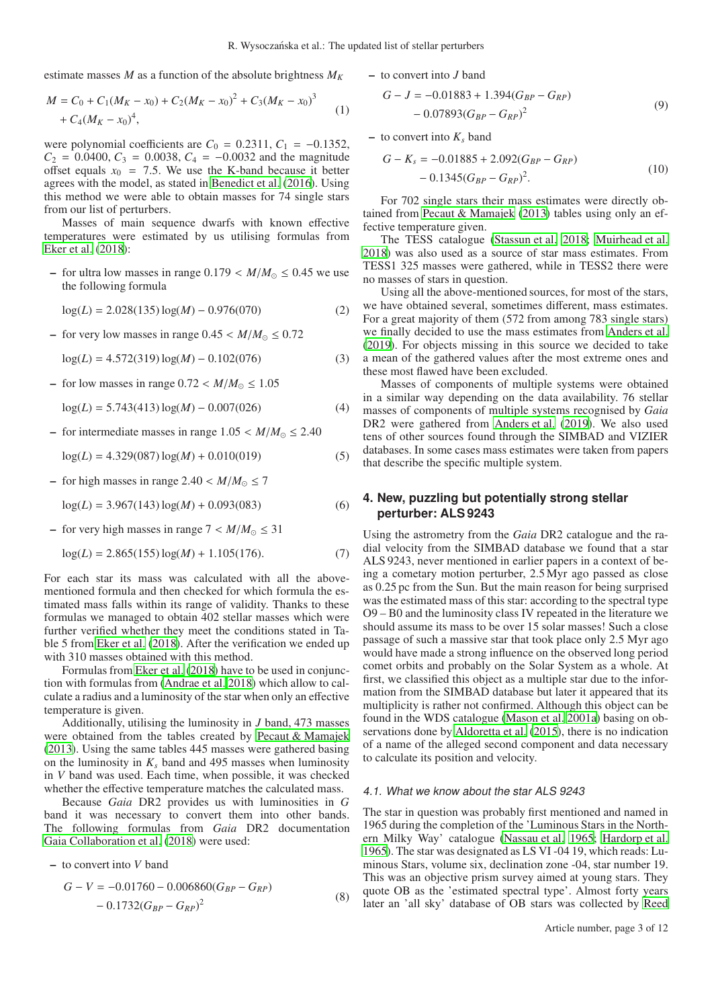estimate masses *M* as a function of the absolute brightness *M<sup>K</sup>*

$$
M = C_0 + C_1(M_K - x_0) + C_2(M_K - x_0)^2 + C_3(M_K - x_0)^3 + C_4(M_K - x_0)^4,
$$
\n(1)

were polynomial coefficients are  $C_0 = 0.2311, C_1 = -0.1352$ ,  $C_2$  = 0.0400,  $C_3$  = 0.0038,  $C_4$  = −0.0032 and the magnitude offset equals  $x_0 = 7.5$ . We use the K-band because it better agrees with the model, as stated in [Benedict et al. \(2016\)](#page-10-19). Using this method we were able to obtain masses for 74 single stars from our list of perturbers.

Masses of main sequence dwarfs with known effective temperatures were estimated by us utilising formulas from [Eker et al. \(2018](#page-10-20)):

– for ultra low masses in range  $0.179 < M/M_{\odot} \leq 0.45$  we use the following formula

$$
log(L) = 2.028(135) log(M) - 0.976(070)
$$
 (2)

– for very low masses in range  $0.45 < M/M_{\odot} \leq 0.72$ 

 $log(L) = 4.572(319) log(M) - 0.102(076)$  (3)

– for low masses in range  $0.72 < M/M_{\odot} \leq 1.05$ 

 $log(L) = 5.743(413) log(M) - 0.007(026)$  (4)

– for intermediate masses in range 1.05 < *M*/*M*<sup>⊙</sup> ≤ 2.40

 $log(L) = 4.329(087) log(M) + 0.010(019)$  (5)

– for high masses in range  $2.40 < M/M_{\odot} \le 7$ 

$$
log(L) = 3.967(143) log(M) + 0.093(083)
$$
 (6)

– for very high masses in range  $7 < M/M_{\odot} \leq 31$ 

$$
log(L) = 2.865(155) log(M) + 1.105(176).
$$
 (7)

For each star its mass was calculated with all the abovementioned formula and then checked for which formula the estimated mass falls within its range of validity. Thanks to these formulas we managed to obtain 402 stellar masses which were further verified whether they meet the conditions stated in Table 5 from [Eker et al. \(2018](#page-10-20)). After the verification we ended up with 310 masses obtained with this method.

Formulas from [Eker et al. \(2018](#page-10-20)) have to be used in conjunction with formulas from [\(Andrae et al. 2018\)](#page-10-21) which allow to calculate a radius and a luminosity of the star when only an effective temperature is given.

Additionally, utilising the luminosity in *J* band, 473 masses were obtained from the tables created by [Pecaut & Mamajek](#page-11-3) [\(2013](#page-11-3)). Using the same tables 445 masses were gathered basing on the luminosity in  $K_s$  band and 495 masses when luminosity in *V* band was used. Each time, when possible, it was checked whether the effective temperature matches the calculated mass.

Because *Gaia* DR2 provides us with luminosities in *G* band it was necessary to convert them into other bands. The following formulas from *Gaia* DR2 documentation [Gaia Collaboration et al.](#page-10-0) [\(2018\)](#page-10-0) were used:

– to convert into *V* band

$$
G - V = -0.01760 - 0.006860(G_{BP} - G_{RP})
$$
  
- 0.1732(G\_{BP} - G\_{RP})<sup>2</sup> (8)

– to convert into *J* band

$$
G - J = -0.01883 + 1.394(G_{BP} - G_{RP})
$$
  
- 0.07893(G\_{BP} - G\_{RP})<sup>2</sup> (9)

 $-$  to convert into  $K_s$  band

$$
G - K_s = -0.01885 + 2.092(G_{BP} - G_{RP})
$$
  
- 0.1345(G\_{BP} - G\_{RP})<sup>2</sup>. (10)

For 702 single stars their mass estimates were directly obtained from [Pecaut & Mamajek](#page-11-3) [\(2013\)](#page-11-3) tables using only an effective temperature given.

The TESS catalogue [\(Stassun et al. 2018](#page-11-4); [Muirhead et al.](#page-11-5) [2018\)](#page-11-5) was also used as a source of star mass estimates. From TESS1 325 masses were gathered, while in TESS2 there were no masses of stars in question.

Using all the above-mentioned sources, for most of the stars, we have obtained several, sometimes different, mass estimates. For a great majority of them (572 from among 783 single stars) we finally decided to use the mass estimates from [Anders et al.](#page-10-18) [\(2019\)](#page-10-18). For objects missing in this source we decided to take a mean of the gathered values after the most extreme ones and these most flawed have been excluded.

Masses of components of multiple systems were obtained in a similar way depending on the data availability. 76 stellar masses of components of multiple systems recognised by *Gaia* DR2 were gathered from [Anders et al.](#page-10-18) [\(2019\)](#page-10-18). We also used tens of other sources found through the SIMBAD and VIZIER databases. In some cases mass estimates were taken from papers that describe the specific multiple system.

# <span id="page-2-0"></span>**4. New, puzzling but potentially strong stellar perturber: ALS 9243**

Using the astrometry from the *Gaia* DR2 catalogue and the radial velocity from the SIMBAD database we found that a star ALS 9243, never mentioned in earlier papers in a context of being a cometary motion perturber, 2.5 Myr ago passed as close as 0.25 pc from the Sun. But the main reason for being surprised was the estimated mass of this star: according to the spectral type O9 – B0 and the luminosity class IV repeated in the literature we should assume its mass to be over 15 solar masses! Such a close passage of such a massive star that took place only 2.5 Myr ago would have made a strong influence on the observed long period comet orbits and probably on the Solar System as a whole. At first, we classified this object as a multiple star due to the information from the SIMBAD database but later it appeared that its multiplicity is rather not confirmed. Although this object can be found in the WDS catalogue [\(Mason et al. 2001a\)](#page-10-22) basing on observations done by [Aldoretta et al. \(2015\)](#page-10-23), there is no indication of a name of the alleged second component and data necessary to calculate its position and velocity.

#### 4.1. What we know about the star ALS 9243

The star in question was probably first mentioned and named in 1965 during the completion of the 'Luminous Stars in the Northern Milky Way' catalogue [\(Nassau et al. 1965](#page-11-6); [Hardorp et al.](#page-10-24) [1965\)](#page-10-24). The star was designated as LS VI -04 19, which reads: Luminous Stars, volume six, declination zone -04, star number 19. This was an objective prism survey aimed at young stars. They quote OB as the 'estimated spectral type'. Almost forty years later an 'all sky' database of OB stars was collected by [Reed](#page-11-7)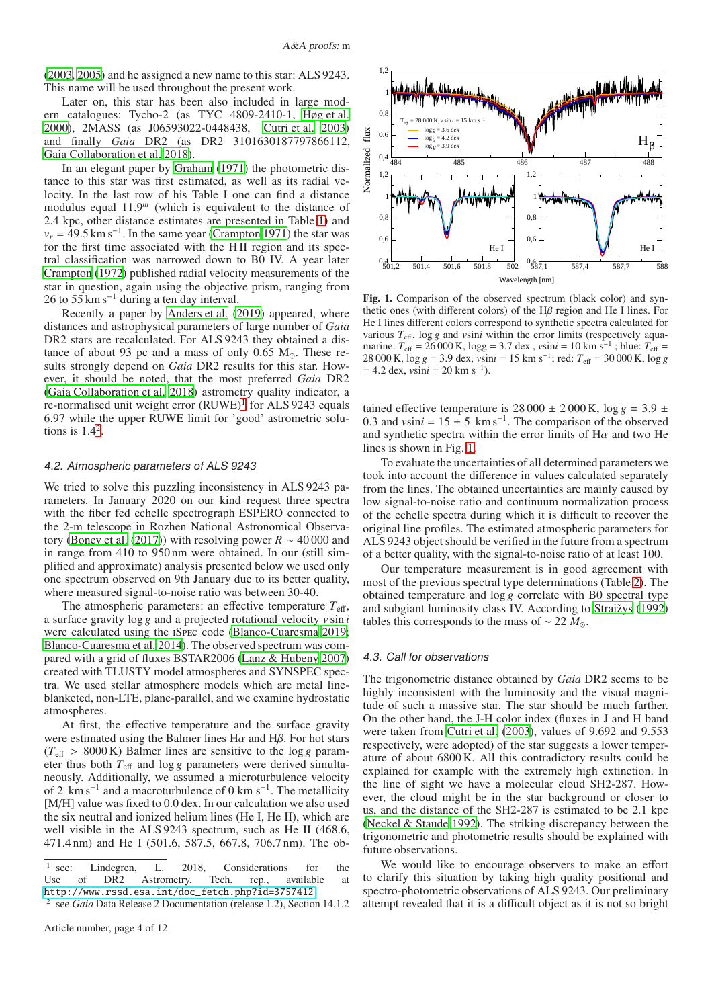[\(2003](#page-11-7), [2005\)](#page-11-8) and he assigned a new name to this star: ALS 9243. This name will be used throughout the present work.

Later on, this star has been also included in large modern catalogues: Tycho-2 (as TYC 4809-2410-1, [Høg et al.](#page-10-10) [2000\)](#page-10-10), 2MASS (as J06593022-0448438, [Cutri et al. 2003\)](#page-10-25) and finally *Gaia* DR2 (as DR2 3101630187797866112, [Gaia Collaboration et al. 2018](#page-10-0)).

In an elegant paper by [Graham \(1971](#page-10-26)) the photometric distance to this star was first estimated, as well as its radial velocity. In the last row of his Table I one can find a distance modulus equal 11.9*<sup>m</sup>* (which is equivalent to the distance of 2.4 kpc, other distance estimates are presented in Table [1\)](#page-4-1) and  $v_r = 49.5 \text{ km s}^{-1}$ . In the same year [\(Crampton 1971\)](#page-10-27) the star was for the first time associated with the H II region and its spectral classification was narrowed down to B0 IV. A year later [Crampton](#page-10-28) [\(1972\)](#page-10-28) published radial velocity measurements of the star in question, again using the objective prism, ranging from 26 to  $55 \text{ km s}^{-1}$  during a ten day interval.

Recently a paper by [Anders et al. \(2019\)](#page-10-18) appeared, where distances and astrophysical parameters of large number of *Gaia* DR2 stars are recalculated. For ALS 9243 they obtained a distance of about 93 pc and a mass of only 0.65  $M_{\odot}$ . These results strongly depend on *Gaia* DR2 results for this star. However, it should be noted, that the most preferred *Gaia* DR2 [\(Gaia Collaboration et al. 2018\)](#page-10-0) astrometry quality indicator, a re-normalised unit weight error  $(RUWE)^{1}$  $(RUWE)^{1}$  $(RUWE)^{1}$  for ALS 9243 equals 6.97 while the upper RUWE limit for 'good' astrometric solutions is  $1.4<sup>2</sup>$  $1.4<sup>2</sup>$  $1.4<sup>2</sup>$ .

#### 4.2. Atmospheric parameters of ALS 9243

We tried to solve this puzzling inconsistency in ALS 9243 parameters. In January 2020 on our kind request three spectra with the fiber fed echelle spectrograph ESPERO connected to the 2-m telescope in Rozhen National Astronomical Observa-tory [\(Bonev et al.](#page-10-29) [\(2017\)](#page-10-29)) with resolving power  $R \sim 40000$  and in range from 410 to 950 nm were obtained. In our (still simplified and approximate) analysis presented below we used only one spectrum observed on 9th January due to its better quality, where measured signal-to-noise ratio was between 30-40.

The atmospheric parameters: an effective temperature  $T_{\text{eff}}$ , a surface gravity log *g* and a projected rotational velocity *v* sin *i* were calculated using the iSpec code [\(Blanco-Cuaresma 2019](#page-10-30); [Blanco-Cuaresma et al. 2014](#page-10-31)). The observed spectrum was compared with a grid of fluxes BSTAR2006 [\(Lanz & Hubeny 2007\)](#page-10-32) created with TLUSTY model atmospheres and SYNSPEC spectra. We used stellar atmosphere models which are metal lineblanketed, non-LTE, plane-parallel, and we examine hydrostatic atmospheres.

At first, the effective temperature and the surface gravity were estimated using the Balmer lines  $H\alpha$  and  $H\beta$ . For hot stars  $(T_{\text{eff}} > 8000 \text{ K})$  Balmer lines are sensitive to the log *g* parameter thus both  $T_{\text{eff}}$  and log *g* parameters were derived simultaneously. Additionally, we assumed a microturbulence velocity of 2 km s<sup>-1</sup> and a macroturbulence of 0 km s<sup>-1</sup>. The metallicity [M/H] value was fixed to 0.0 dex. In our calculation we also used the six neutral and ionized helium lines (He I, He II), which are well visible in the ALS 9243 spectrum, such as He II (468.6, 471.4 nm) and He I (501.6, 587.5, 667.8, 706.7 nm). The ob-



<span id="page-3-2"></span>Fig. 1. Comparison of the observed spectrum (black color) and synthetic ones (with different colors) of the  $H\beta$  region and He I lines. For He I lines different colors correspond to synthetic spectra calculated for various  $T_{\text{eff}}$ , log g and *vsini* within the error limits (respectively aquamarine:  $T_{\text{eff}} = 26000 \text{ K}$ ,  $\log g = 3.7 \text{ dex}$ ,  $v \sin i = 10 \text{ km s}^{-1}$ ; blue:  $T_{\text{eff}} =$ 28 000 K, log *g* = 3.9 dex, *v*sin*i* = 15 km s<sup>−</sup><sup>1</sup> ; red: *T*eff = 30 000 K, log *g*  $= 4.2$  dex,  $v\sin i = 20$  km s<sup>-1</sup>).

tained effective temperature is  $28000 \pm 2000$  K,  $\log g = 3.9 \pm 10^{-10}$ 0.3 and  $v\sin i = 15 \pm 5$  km s<sup>-1</sup>. The comparison of the observed and synthetic spectra within the error limits of  $H\alpha$  and two He lines is shown in Fig. [1.](#page-3-2)

To evaluate the uncertainties of all determined parameters we took into account the difference in values calculated separately from the lines. The obtained uncertainties are mainly caused by low signal-to-noise ratio and continuum normalization process of the echelle spectra during which it is difficult to recover the original line profiles. The estimated atmospheric parameters for ALS 9243 object should be verified in the future from a spectrum of a better quality, with the signal-to-noise ratio of at least 100.

Our temperature measurement is in good agreement with most of the previous spectral type determinations (Table [2\)](#page-4-2). The obtained temperature and log *g* correlate with B0 spectral type and subgiant luminosity class IV. According to [Straižys \(1992](#page-11-9)) tables this corresponds to the mass of  $\sim$  22  $M_{\odot}$ .

#### 4.3. Call for observations

The trigonometric distance obtained by *Gaia* DR2 seems to be highly inconsistent with the luminosity and the visual magnitude of such a massive star. The star should be much farther. On the other hand, the J-H color index (fluxes in J and H band were taken from [Cutri et al. \(2003\)](#page-10-25), values of 9.692 and 9.553 respectively, were adopted) of the star suggests a lower temperature of about 6800 K. All this contradictory results could be explained for example with the extremely high extinction. In the line of sight we have a molecular cloud SH2-287. However, the cloud might be in the star background or closer to us, and the distance of the SH2-287 is estimated to be 2.1 kpc [\(Neckel & Staude 1992\)](#page-11-10). The striking discrepancy between the trigonometric and photometric results should be explained with future observations.

We would like to encourage observers to make an effort to clarify this situation by taking high quality positional and spectro-photometric observations of ALS 9243. Our preliminary attempt revealed that it is a difficult object as it is not so bright

<span id="page-3-0"></span><sup>1</sup> see: Lindegren, L. 2018, Considerations for the Use of DR2 Astrometry, Tech. rep., available at [http://www.rssd.esa.int/doc\\_fetch.php?id=3757412](http://www.rssd.esa.int/doc_fetch.php?id=3757412)

<span id="page-3-1"></span><sup>2</sup> see *Gaia* Data Release 2 Documentation (release 1.2), Section 14.1.2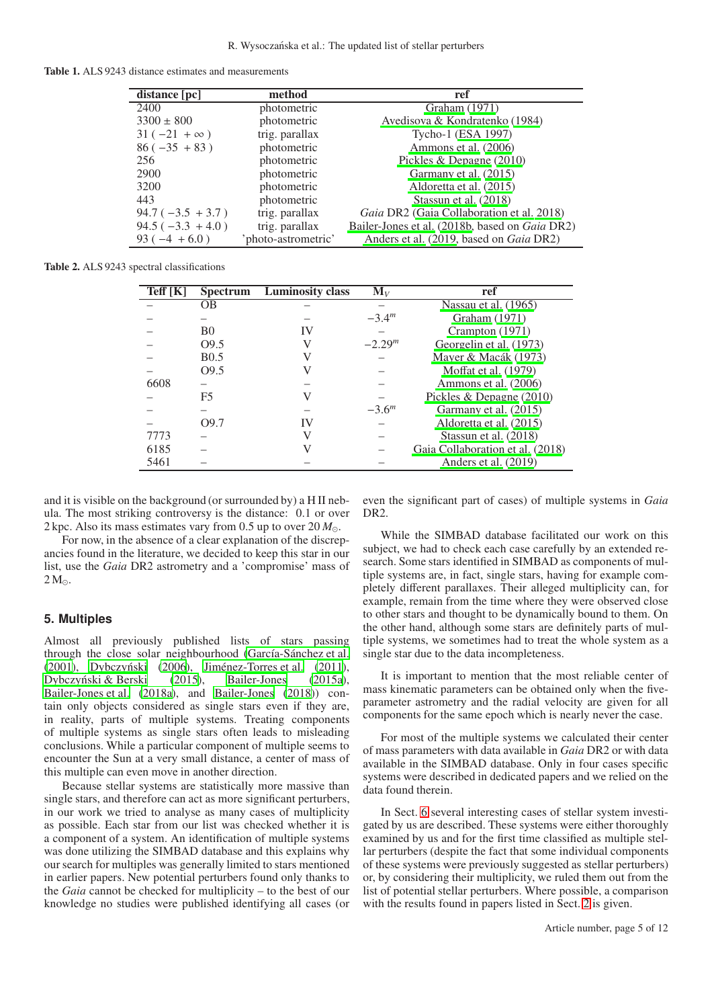<span id="page-4-1"></span>

|  |  | <b>Table 1.</b> ALS 9243 distance estimates and measurements |
|--|--|--------------------------------------------------------------|
|--|--|--------------------------------------------------------------|

| distance [pc]      | method             | ref                                                    |
|--------------------|--------------------|--------------------------------------------------------|
| 2400               | photometric        | Graham (1971)                                          |
| $3300 \pm 800$     | photometric        | Avedisova & Kondratenko (1984)                         |
| $31(-21 + \infty)$ | trig. parallax     | Tycho-1 (ESA 1997)                                     |
| $86 (-35 + 83)$    | photometric        | Ammons et al. (2006)                                   |
| 256                | photometric        | Pickles & Depagne (2010)                               |
| 2900               | photometric        | Garmany et al. (2015)                                  |
| 3200               | photometric        | Aldoretta et al. (2015)                                |
| 443                | photometric        | Stassun et al. (2018)                                  |
| $94.7(-3.5 + 3.7)$ | trig. parallax     | Gaia DR2 (Gaia Collaboration et al. 2018)              |
| $94.5(-3.3 + 4.0)$ | trig. parallax     | Bailer-Jones et al. (2018b, based on <i>Gaia DR2</i> ) |
| $93(-4 + 6.0)$     | photo-astrometric' | Anders et al. (2019, based on <i>Gaia DR2</i> )        |

<span id="page-4-2"></span>Table 2. ALS 9243 spectral classifications

| $\overline{\text{Teff}}$ [K] | <b>Spectrum</b> | Luminosity class | $\mathbf{M}_V$ | ref                              |
|------------------------------|-----------------|------------------|----------------|----------------------------------|
|                              | OВ              |                  |                | Nassau et al. (1965)             |
|                              |                 |                  | $-3.4m$        | Graham (1971)                    |
|                              | B0              |                  |                | Crampton (1971)                  |
|                              | 09.5            |                  | $-2.29m$       | Georgelin et al. (1973)          |
|                              | <b>B0.5</b>     |                  |                | Mayer & Macák (1973)             |
|                              | O9.5            |                  |                | Moffat et al. (1979)             |
| 6608                         |                 |                  |                | Ammons et al. (2006)             |
|                              | F5              |                  |                | Pickles & Depagne $(2010)$       |
|                              |                 |                  | $-3.6m$        | Garmany et al. (2015)            |
|                              | O9.7            |                  |                | Aldoretta et al. (2015)          |
| 7773                         |                 |                  |                | Stassun et al. (2018)            |
| 6185                         |                 |                  |                | Gaia Collaboration et al. (2018) |
| 5461                         |                 |                  |                | Anders et al. (2019)             |

and it is visible on the background (or surrounded by) a H II nebula. The most striking controversy is the distance: 0.1 or over 2 kpc. Also its mass estimates vary from 0.5 up to over 20 *M*⊙.

For now, in the absence of a clear explanation of the discrepancies found in the literature, we decided to keep this star in our list, use the *Gaia* DR2 astrometry and a 'compromise' mass of  $2 M_{\odot}$ .

#### <span id="page-4-0"></span>**5. Multiples**

Almost all previously published lists of stars passing through the close solar neighbourhood [\(García-Sánchez et al.](#page-10-2) [\(2001](#page-10-2)), Dybczyński (2006), [Jiménez-Torres et al. \(2011](#page-10-5)), [Dybczynski & Berski \(2015\)](#page-10-8), [Bailer-Jones](#page-10-9) [\(2015a](#page-10-9)), ´ [Bailer-Jones et al. \(2018a\)](#page-10-14), and [Bailer-Jones \(2018\)](#page-10-11)) contain only objects considered as single stars even if they are, in reality, parts of multiple systems. Treating components of multiple systems as single stars often leads to misleading conclusions. While a particular component of multiple seems to encounter the Sun at a very small distance, a center of mass of this multiple can even move in another direction.

Because stellar systems are statistically more massive than single stars, and therefore can act as more significant perturbers, in our work we tried to analyse as many cases of multiplicity as possible. Each star from our list was checked whether it is a component of a system. An identification of multiple systems was done utilizing the SIMBAD database and this explains why our search for multiples was generally limited to stars mentioned in earlier papers. New potential perturbers found only thanks to the *Gaia* cannot be checked for multiplicity – to the best of our knowledge no studies were published identifying all cases (or even the significant part of cases) of multiple systems in *Gaia* DR2.

While the SIMBAD database facilitated our work on this subject, we had to check each case carefully by an extended research. Some stars identified in SIMBAD as components of multiple systems are, in fact, single stars, having for example completely different parallaxes. Their alleged multiplicity can, for example, remain from the time where they were observed close to other stars and thought to be dynamically bound to them. On the other hand, although some stars are definitely parts of multiple systems, we sometimes had to treat the whole system as a single star due to the data incompleteness.

It is important to mention that the most reliable center of mass kinematic parameters can be obtained only when the fiveparameter astrometry and the radial velocity are given for all components for the same epoch which is nearly never the case.

For most of the multiple systems we calculated their center of mass parameters with data available in *Gaia* DR2 or with data available in the SIMBAD database. Only in four cases specific systems were described in dedicated papers and we relied on the data found therein.

In Sect. [6](#page-5-0) several interesting cases of stellar system investigated by us are described. These systems were either thoroughly examined by us and for the first time classified as multiple stellar perturbers (despite the fact that some individual components of these systems were previously suggested as stellar perturbers) or, by considering their multiplicity, we ruled them out from the list of potential stellar perturbers. Where possible, a comparison with the results found in papers listed in Sect. [2](#page-1-0) is given.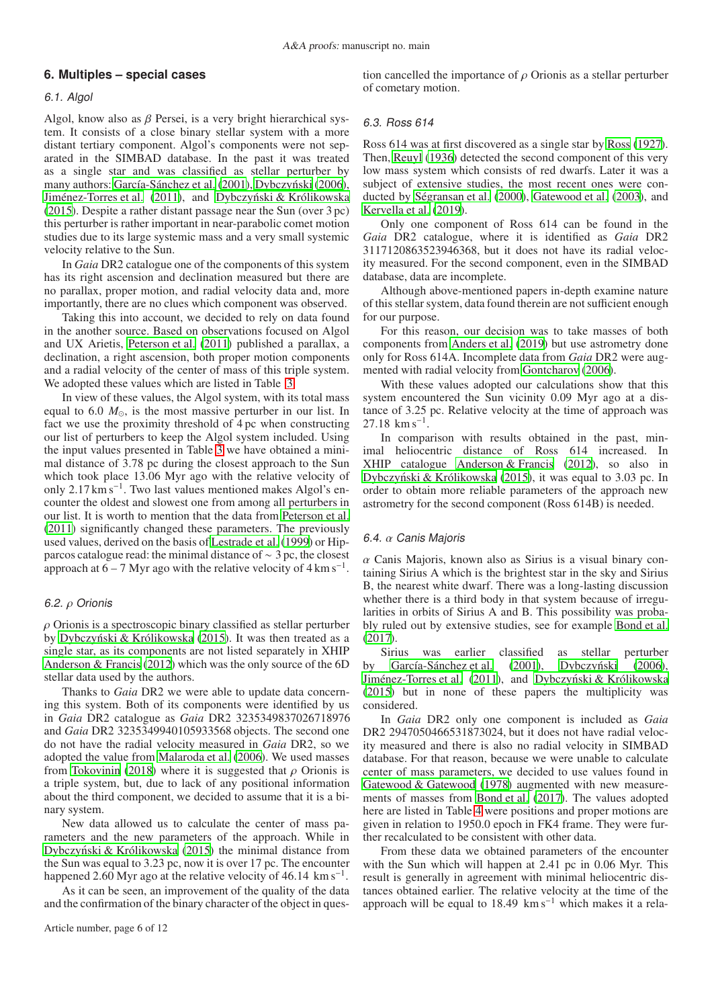# <span id="page-5-0"></span>**6. Multiples – special cases**

# 6.1. Algol

Algol, know also as  $\beta$  Persei, is a very bright hierarchical system. It consists of a close binary stellar system with a more distant tertiary component. Algol's components were not separated in the SIMBAD database. In the past it was treated as a single star and was classified as stellar perturber by many authors: [García-Sánchez et al.](#page-10-2) [\(2001\)](#page-10-2), Dybczyński (2006), [Jiménez-Torres et al. \(2011\)](#page-10-5), and Dybczyński & Królikowska [\(2015](#page-10-6)). Despite a rather distant passage near the Sun (over 3 pc) this perturber is rather important in near-parabolic comet motion studies due to its large systemic mass and a very small systemic velocity relative to the Sun.

In *Gaia* DR2 catalogue one of the components of this system has its right ascension and declination measured but there are no parallax, proper motion, and radial velocity data and, more importantly, there are no clues which component was observed.

Taking this into account, we decided to rely on data found in the another source. Based on observations focused on Algol and UX Arietis, [Peterson et al.](#page-11-14) [\(2011\)](#page-11-14) published a parallax, a declination, a right ascension, both proper motion components and a radial velocity of the center of mass of this triple system. We adopted these values which are listed in Table [3.](#page-6-0)

In view of these values, the Algol system, with its total mass equal to 6.0 *M*⊙, is the most massive perturber in our list. In fact we use the proximity threshold of 4 pc when constructing our list of perturbers to keep the Algol system included. Using the input values presented in Table [3](#page-6-0) we have obtained a minimal distance of 3.78 pc during the closest approach to the Sun which took place 13.06 Myr ago with the relative velocity of only 2.17 km s<sup>-1</sup>. Two last values mentioned makes Algol's encounter the oldest and slowest one from among all perturbers in our list. It is worth to mention that the data from [Peterson et](#page-11-14) al. [\(2011](#page-11-14)) significantly changed these parameters. The previously used values, derived on the basis of [Lestrade et al. \(1999](#page-10-37)) or Hipparcos catalogue read: the minimal distance of ∼ 3 pc, the closest approach at  $6 - 7$  Myr ago with the relative velocity of  $4 \text{ km s}^{-1}$ .

# 6.2. ρ Orionis

 $\rho$  Orionis is a spectroscopic binary classified as stellar perturber by Dybczyński & Królikowska (2015). It was then treated as a single star, as its components are not listed separately in XHIP [Anderson & Francis \(2012](#page-10-7)) which was the only source of the 6D stellar data used by the authors.

Thanks to *Gaia* DR2 we were able to update data concerning this system. Both of its components were identified by us in *Gaia* DR2 catalogue as *Gaia* DR2 3235349837026718976 and *Gaia* DR2 3235349940105933568 objects. The second one do not have the radial velocity measured in *Gaia* DR2, so we adopted the value from [Malaroda et al. \(2006\)](#page-10-38). We used masses from [Tokovinin \(2018](#page-11-15)) where it is suggested that  $\rho$  Orionis is a triple system, but, due to lack of any positional information about the third component, we decided to assume that it is a binary system.

New data allowed us to calculate the center of mass parameters and the new parameters of the approach. While in Dybczyński & Królikowska [\(2015\)](#page-10-6) the minimal distance from the Sun was equal to 3.23 pc, now it is over 17 pc. The encounter happened 2.60 Myr ago at the relative velocity of 46.14 km s<sup>-1</sup>.

As it can be seen, an improvement of the quality of the data and the confirmation of the binary character of the object in ques-

tion cancelled the importance of  $\rho$  Orionis as a stellar perturber of cometary motion.

# 6.3. Ross 614

Ross 614 was at first discovered as a single star by [Ross](#page-11-16) [\(1927\)](#page-11-16). Then, [Reuyl](#page-11-17) [\(1936\)](#page-11-17) detected the second component of this very low mass system which consists of red dwarfs. Later it was a subject of extensive studies, the most recent ones were conducted by [Ségransan et al. \(2000\)](#page-11-18), [Gatewood et al. \(2003\)](#page-10-39), and [Kervella et al. \(2019\)](#page-10-40).

Only one component of Ross 614 can be found in the *Gaia* DR2 catalogue, where it is identified as *Gaia* DR2 3117120863523946368, but it does not have its radial velocity measured. For the second component, even in the SIMBAD database, data are incomplete.

Although above-mentioned papers in-depth examine nature of this stellar system, data found therein are not sufficient enough for our purpose.

For this reason, our decision was to take masses of both components from [Anders et al.](#page-10-18) [\(2019\)](#page-10-18) but use astrometry done only for Ross 614A. Incomplete data from *Gaia* DR2 were augmented with radial velocity from [Gontcharov](#page-10-41) [\(2006\)](#page-10-41).

With these values adopted our calculations show that this system encountered the Sun vicinity 0.09 Myr ago at a distance of 3.25 pc. Relative velocity at the time of approach was  $27.18$  km s<sup>-1</sup>.

In comparison with results obtained in the past, minimal heliocentric distance of Ross 614 increased. In XHIP catalogue [Anderson & Francis \(2012\)](#page-10-7), so also in Dybczyński & Królikowska (2015), it was equal to 3.03 pc. In order to obtain more reliable parameters of the approach new astrometry for the second component (Ross 614B) is needed.

# 6.4. α Canis Majoris

 $\alpha$  Canis Majoris, known also as Sirius is a visual binary containing Sirius A which is the brightest star in the sky and Sirius B, the nearest white dwarf. There was a long-lasting discussion whether there is a third body in that system because of irregularities in orbits of Sirius A and B. This possibility was probably ruled out by extensive studies, see for example [Bond et al.](#page-10-42) [\(2017\)](#page-10-42).

Sirius was earlier classified as stellar perturber by [García-Sánchez et al.](#page-10-2) [\(2001\)](#page-10-2), Dybczyński [\(2006\)](#page-10-4), [Jiménez-Torres et al. \(2011\)](#page-10-5), and Dybczyński & Królikowska [\(2015\)](#page-10-6) but in none of these papers the multiplicity was considered.

In *Gaia* DR2 only one component is included as *Gaia* DR2 2947050466531873024, but it does not have radial velocity measured and there is also no radial velocity in SIMBAD database. For that reason, because we were unable to calculate center of mass parameters, we decided to use values found in [Gatewood & Gatewood](#page-10-43) [\(1978\)](#page-10-43) augmented with new measurements of masses from [Bond et al. \(2017\)](#page-10-42). The values adopted here are listed in Table [4](#page-6-1) were positions and proper motions are given in relation to 1950.0 epoch in FK4 frame. They were further recalculated to be consistent with other data.

From these data we obtained parameters of the encounter with the Sun which will happen at 2.41 pc in 0.06 Myr. This result is generally in agreement with minimal heliocentric distances obtained earlier. The relative velocity at the time of the approach will be equal to 18.49 km s<sup>-1</sup> which makes it a rela-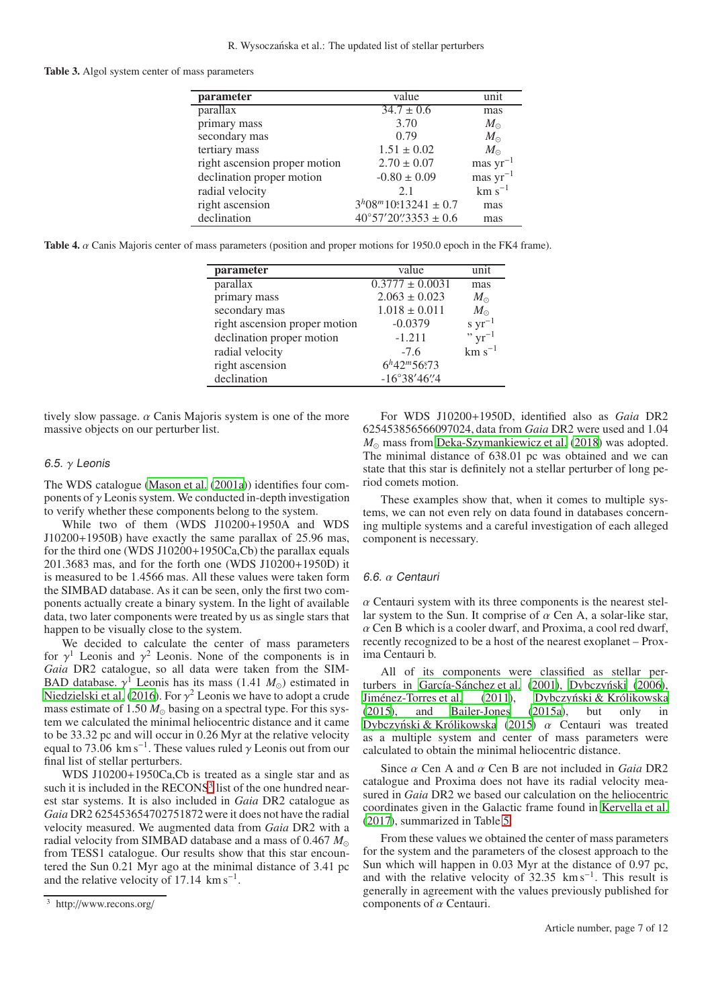#### <span id="page-6-0"></span>Table 3. Algol system center of mass parameters

| parameter                     | value                                             | unit          |
|-------------------------------|---------------------------------------------------|---------------|
| parallax                      | $34.7 \pm 0.6$                                    | mas           |
| primary mass                  | 3.70                                              | $M_{\odot}$   |
| secondary mas                 | 0.79                                              | $M_{\odot}$   |
| tertiary mass                 | $1.51 \pm 0.02$                                   | $M_{\odot}$   |
| right ascension proper motion | $2.70 \pm 0.07$                                   | mas $yr^{-1}$ |
| declination proper motion     | $-0.80 \pm 0.09$                                  | mas $yr^{-1}$ |
| radial velocity               | 2.1                                               | $km s^{-1}$   |
| right ascension               | $3^{h}08^{m}10\overset{\text{s}}{.}13241 \pm 0.7$ | mas           |
| declination                   | $40^{\circ}57'20''3353 \pm 0.6$                   | mas           |

<span id="page-6-1"></span>Table 4. α Canis Majoris center of mass parameters (position and proper motions for 1950.0 epoch in the FK4 frame).

| parameter                     | value                 | unit                       |
|-------------------------------|-----------------------|----------------------------|
| parallax                      | $0.3777 \pm 0.0031$   | mas                        |
| primary mass                  | $2.063 \pm 0.023$     | $M_{\odot}$                |
| secondary mas                 | $1.018 \pm 0.011$     | $M_{\odot}$                |
| right ascension proper motion | $-0.0379$             | s $yr^{-1}$<br>" $yr^{-1}$ |
| declination proper motion     | $-1.211$              |                            |
| radial velocity               | $-7.6$                | $km s^{-1}$                |
| right ascension               | $6h42m56s73$          |                            |
| declination                   | $-16^{\circ}38'46''4$ |                            |

tively slow passage.  $\alpha$  Canis Majoris system is one of the more massive objects on our perturber list.

## 6.5. γ Leonis

The WDS catalogue [\(Mason et al. \(2001a\)](#page-10-22)) identifies four components of  $\gamma$  Leonis system. We conducted in-depth investigation to verify whether these components belong to the system.

While two of them (WDS J10200+1950A and WDS J10200+1950B) have exactly the same parallax of 25.96 mas, for the third one (WDS J10200+1950Ca,Cb) the parallax equals 201.3683 mas, and for the forth one (WDS J10200+1950D) it is measured to be 1.4566 mas. All these values were taken form the SIMBAD database. As it can be seen, only the first two components actually create a binary system. In the light of available data, two later components were treated by us as single stars that happen to be visually close to the system.

We decided to calculate the center of mass parameters for  $\gamma^1$  Leonis and  $\gamma^2$  Leonis. None of the components is in *Gaia* DR2 catalogue, so all data were taken from the SIM-BAD database.  $\gamma^1$  Leonis has its mass (1.41  $M_{\odot}$ ) estimated in [Niedzielski et al.](#page-11-19) [\(2016\)](#page-11-19). For  $\gamma^2$  Leonis we have to adopt a crude mass estimate of 1.50 *M*<sup>⊙</sup> basing on a spectral type. For this system we calculated the minimal heliocentric distance and it came to be 33.32 pc and will occur in 0.26 Myr at the relative velocity equal to 73.06 km s<sup>-1</sup>. These values ruled  $\gamma$  Leonis out from our final list of stellar perturbers.

WDS J10200+1950Ca,Cb is treated as a single star and as such it is included in the RECONS<sup>[3](#page-6-2)</sup> list of the one hundred nearest star systems. It is also included in *Gaia* DR2 catalogue as *Gaia* DR2 625453654702751872 were it does not have the radial velocity measured. We augmented data from *Gaia* DR2 with a radial velocity from SIMBAD database and a mass of 0.467 *M*<sup>⊙</sup> from TESS1 catalogue. Our results show that this star encountered the Sun 0.21 Myr ago at the minimal distance of 3.41 pc and the relative velocity of  $17.14 \text{ km s}^{-1}$ .

For WDS J10200+1950D, identified also as *Gaia* DR2 625453856566097024, data from *Gaia* DR2 were used and 1.04 *M*<sub>⊙</sub> mass from [Deka-Szymankiewicz et al. \(2018](#page-10-44)) was adopted. The minimal distance of 638.01 pc was obtained and we can state that this star is definitely not a stellar perturber of long period comets motion.

These examples show that, when it comes to multiple systems, we can not even rely on data found in databases concerning multiple systems and a careful investigation of each alleged component is necessary.

#### 6.6. α Centauri

 $\alpha$  Centauri system with its three components is the nearest stellar system to the Sun. It comprise of  $\alpha$  Cen A, a solar-like star,  $\alpha$  Cen B which is a cooler dwarf, and Proxima, a cool red dwarf, recently recognized to be a host of the nearest exoplanet – Proxima Centauri b.

All of its components were classified as stellar per-turbers in [García-Sánchez et al. \(2001\)](#page-10-2), Dybczyński [\(2006\)](#page-10-4), [Jiménez-Torres et al. \(2011\)](#page-10-5), Dybczyński & Królikowska [\(2015\)](#page-10-6), and [Bailer-Jones \(2015a\)](#page-10-9), but only in Dybczyński & Królikowska (2015)  $\alpha$  Centauri was treated as a multiple system and center of mass parameters were calculated to obtain the minimal heliocentric distance.

Since α Cen A and α Cen B are not included in *Gaia* DR2 catalogue and Proxima does not have its radial velocity measured in *Gaia* DR2 we based our calculation on the heliocentric coordinates given in the Galactic frame found in [Kervella et](#page-10-45) al. [\(2017\)](#page-10-45), summarized in Table [5.](#page-7-1)

From these values we obtained the center of mass parameters for the system and the parameters of the closest approach to the Sun which will happen in 0.03 Myr at the distance of 0.97 pc, and with the relative velocity of  $32.35 \text{ km s}^{-1}$ . This result is generally in agreement with the values previously published for components of  $\alpha$  Centauri.

<span id="page-6-2"></span><sup>3</sup> http://www.recons.org/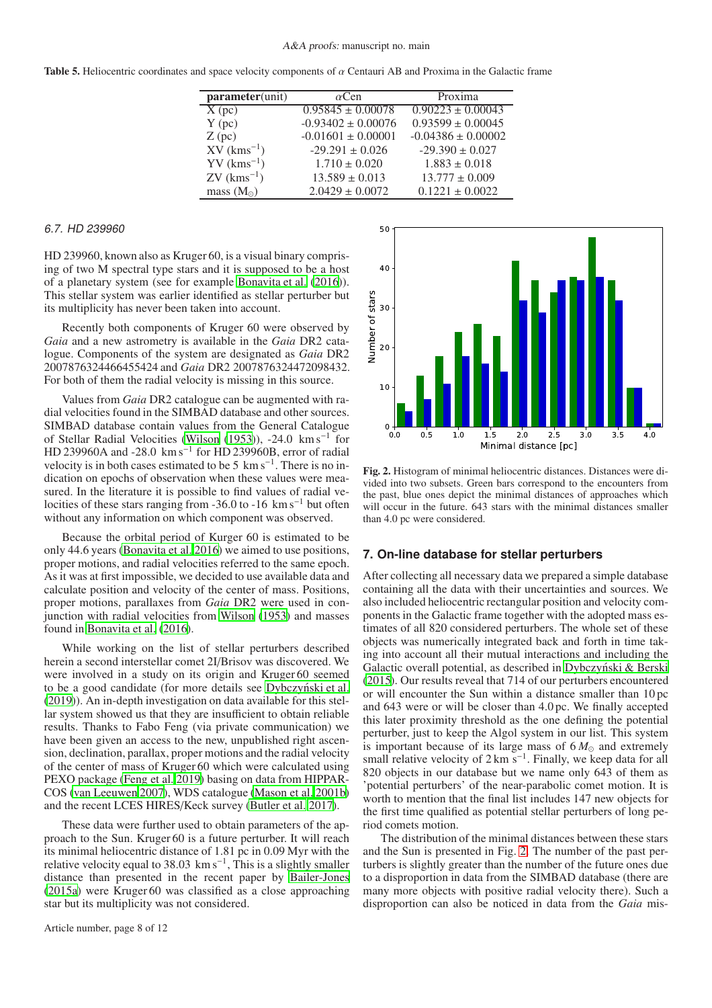<span id="page-7-1"></span>Table 5. Heliocentric coordinates and space velocity components of  $\alpha$  Centauri AB and Proxima in the Galactic frame

| $parameter(\overline{unit})$ | $\alpha$ Cen           | Proxima                |
|------------------------------|------------------------|------------------------|
| $\overline{X(pc)}$           | $0.95845 \pm 0.00078$  | $0.90223 \pm 0.00043$  |
| $Y$ (pc)                     | $-0.93402 \pm 0.00076$ | $0.93599 \pm 0.00045$  |
| $Z$ (pc)                     | $-0.01601 \pm 0.00001$ | $-0.04386 \pm 0.00002$ |
| $XV$ ( $kms^{-1}$ )          | $-29.291 \pm 0.026$    | $-29.390 \pm 0.027$    |
| $\rm YV~(kms^{-1})$          | $1.710 \pm 0.020$      | $1.883 \pm 0.018$      |
| $ZV$ (kms <sup>-1</sup> )    | $13.589 \pm 0.013$     | $13.777 \pm 0.009$     |
| mass $(M_{\odot})$           | $2.0429 \pm 0.0072$    | $0.1221 \pm 0.0022$    |

#### 6.7. HD 239960

HD 239960, known also as Kruger 60, is a visual binary comprising of two M spectral type stars and it is supposed to be a host of a planetary system (see for example [Bonavita et al. \(2016\)](#page-10-46)). This stellar system was earlier identified as stellar perturber but its multiplicity has never been taken into account.

Recently both components of Kruger 60 were observed by *Gaia* and a new astrometry is available in the *Gaia* DR2 catalogue. Components of the system are designated as *Gaia* DR2 2007876324466455424 and *Gaia* DR2 2007876324472098432. For both of them the radial velocity is missing in this source.

Values from *Gaia* DR2 catalogue can be augmented with radial velocities found in the SIMBAD database and other sources. SIMBAD database contain values from the General Catalogue of Stellar Radial Velocities [\(Wilson](#page-11-20) [\(1953\)](#page-11-20)), -24.0 km s−<sup>1</sup> for HD 239960A and -28.0  $\mathrm{km\,s^{-1}}$  for HD 239960B, error of radial velocity is in both cases estimated to be 5  $\rm km\,s^{-1}$ . There is no indication on epochs of observation when these values were measured. In the literature it is possible to find values of radial velocities of these stars ranging from -36.0 to -16 km s<sup>-1</sup> but often without any information on which component was observed.

Because the orbital period of Kurger 60 is estimated to be only 44.6 years [\(Bonavita et al. 2016\)](#page-10-46) we aimed to use positions, proper motions, and radial velocities referred to the same epoch. As it was at first impossible, we decided to use available data and calculate position and velocity of the center of mass. Positions, proper motions, parallaxes from *Gaia* DR2 were used in conjunction with radial velocities from [Wilson \(1953\)](#page-11-20) and masses found in [Bonavita et al. \(2016](#page-10-46)).

While working on the list of stellar perturbers described herein a second interstellar comet 2I/Brisov was discovered. We were involved in a study on its origin and Kruger 60 seemed to be a good candidate (for more details see Dybczyński et al. [\(2019](#page-10-47))). An in-depth investigation on data available for this stellar system showed us that they are insufficient to obtain reliable results. Thanks to Fabo Feng (via private communication) we have been given an access to the new, unpublished right ascension, declination, parallax, proper motions and the radial velocity of the center of mass of Kruger 60 which were calculated using PEXO package [\(Feng et al. 2019\)](#page-10-48) basing on data from HIPPAR-COS [\(van Leeuwen 2007\)](#page-11-2), WDS catalogue [\(Mason et al. 2001b\)](#page-11-21) and the recent LCES HIRES/Keck survey [\(Butler et al. 2017](#page-10-49)).

These data were further used to obtain parameters of the approach to the Sun. Kruger 60 is a future perturber. It will reach its minimal heliocentric distance of 1.81 pc in 0.09 Myr with the relative velocity equal to 38.03  $\rm km\,s^{-1}$ , This is a slightly smaller distance than presented in the recent paper by [Bailer-Jones](#page-10-9) [\(2015a\)](#page-10-9) were Kruger 60 was classified as a close approaching star but its multiplicity was not considered.



<span id="page-7-2"></span>Fig. 2. Histogram of minimal heliocentric distances. Distances were divided into two subsets. Green bars correspond to the encounters from the past, blue ones depict the minimal distances of approaches which will occur in the future. 643 stars with the minimal distances smaller than 4.0 pc were considered.

#### <span id="page-7-0"></span>**7. On-line database for stellar perturbers**

After collecting all necessary data we prepared a simple database containing all the data with their uncertainties and sources. We also included heliocentric rectangular position and velocity components in the Galactic frame together with the adopted mass estimates of all 820 considered perturbers. The whole set of these objects was numerically integrated back and forth in time taking into account all their mutual interactions and including the Galactic overall potential, as described in Dybczyński & Berski [\(2015\)](#page-10-8). Our results reveal that 714 of our perturbers encountered or will encounter the Sun within a distance smaller than 10 pc and 643 were or will be closer than 4.0 pc. We finally accepted this later proximity threshold as the one defining the potential perturber, just to keep the Algol system in our list. This system is important because of its large mass of  $6 M_{\odot}$  and extremely small relative velocity of  $2 \text{ km s}^{-1}$ . Finally, we keep data for all 820 objects in our database but we name only 643 of them as 'potential perturbers' of the near-parabolic comet motion. It is worth to mention that the final list includes 147 new objects for the first time qualified as potential stellar perturbers of long period comets motion.

The distribution of the minimal distances between these stars and the Sun is presented in Fig. [2.](#page-7-2) The number of the past perturbers is slightly greater than the number of the future ones due to a disproportion in data from the SIMBAD database (there are many more objects with positive radial velocity there). Such a disproportion can also be noticed in data from the *Gaia* mis-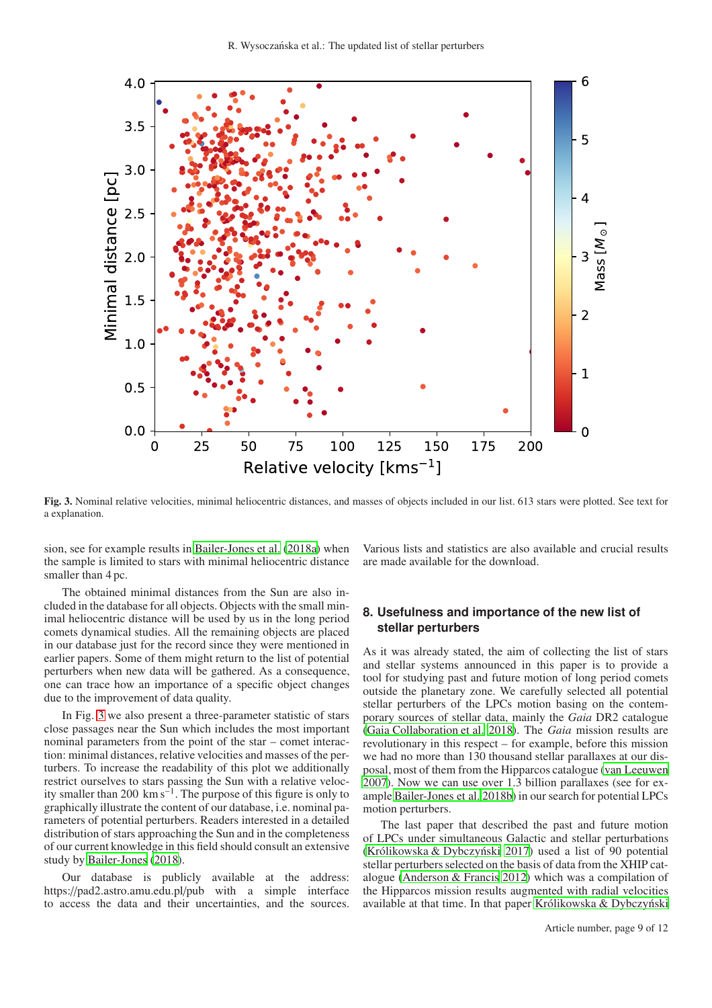

<span id="page-8-1"></span>Fig. 3. Nominal relative velocities, minimal heliocentric distances, and masses of objects included in our list. 613 stars were plotted. See text for a explanation.

sion, see for example results in [Bailer-Jones et al. \(2018a\)](#page-10-14) when the sample is limited to stars with minimal heliocentric distance smaller than 4 pc.

The obtained minimal distances from the Sun are also included in the database for all objects. Objects with the small minimal heliocentric distance will be used by us in the long period comets dynamical studies. All the remaining objects are placed in our database just for the record since they were mentioned in earlier papers. Some of them might return to the list of potential perturbers when new data will be gathered. As a consequence, one can trace how an importance of a specific object changes due to the improvement of data quality.

In Fig. [3](#page-8-1) we also present a three-parameter statistic of stars close passages near the Sun which includes the most important nominal parameters from the point of the star – comet interaction: minimal distances, relative velocities and masses of the perturbers. To increase the readability of this plot we additionally restrict ourselves to stars passing the Sun with a relative velocity smaller than 200  $\mathrm{km s}^{-1}$ . The purpose of this figure is only to graphically illustrate the content of our database, i.e. nominal parameters of potential perturbers. Readers interested in a detailed distribution of stars approaching the Sun and in the completeness of our current knowledge in this field should consult an extensive study by [Bailer-Jones \(2018\)](#page-10-11).

Our database is publicly available at the address: https://pad2.astro.amu.edu.pl/pub with a simple interface to access the data and their uncertainties, and the sources.

Various lists and statistics are also available and crucial results are made available for the download.

# <span id="page-8-0"></span>**8. Usefulness and importance of the new list of stellar perturbers**

As it was already stated, the aim of collecting the list of stars and stellar systems announced in this paper is to provide a tool for studying past and future motion of long period comets outside the planetary zone. We carefully selected all potential stellar perturbers of the LPCs motion basing on the contemporary sources of stellar data, mainly the *Gaia* DR2 catalogue [\(Gaia Collaboration et al. 2018\)](#page-10-0). The *Gaia* mission results are revolutionary in this respect – for example, before this mission we had no more than 130 thousand stellar parallaxes at our disposal, most of them from the Hipparcos catalogue [\(van Leeuwen](#page-11-2) [2007\)](#page-11-2). Now we can use over 1.3 billion parallaxes (see for example [Bailer-Jones et al. 2018b](#page-10-15)) in our search for potential LPCs motion perturbers.

The last paper that described the past and future motion of LPCs under simultaneous Galactic and stellar perturbations (Królikowska & Dybczyński 2017) used a list of 90 potential stellar perturbers selected on the basis of data from the XHIP catalogue [\(Anderson & Francis 2012\)](#page-10-7) which was a compilation of the Hipparcos mission results augmented with radial velocities available at that time. In that paper Królikowska  $& Dybczy$ ński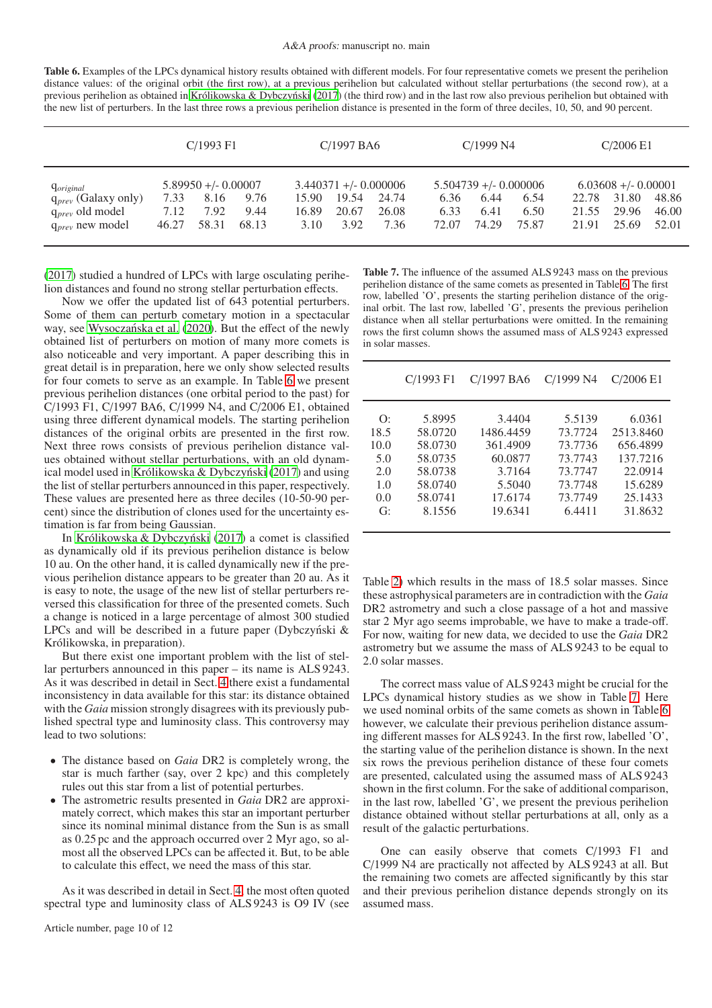<span id="page-9-0"></span>Table 6. Examples of the LPCs dynamical history results obtained with different models. For four representative comets we present the perihelion distance values: of the original orbit (the first row), at a previous perihelion but calculated without stellar perturbations (the second row), at a previous perihelion as obtained in Królikowska & Dybczyński [\(2017](#page-10-50)) (the third row) and in the last row also previous perihelion but obtained with the new list of perturbers. In the last three rows a previous perihelion distance is presented in the form of three deciles, 10, 50, and 90 percent.

|                                                                                                             | C/1993 F1             |                                                 | $C/1997$ BA6          |                        | C/1999 N4                                         |                        | C/2006E1              |                                                  |                       |                         |                                                  |                         |
|-------------------------------------------------------------------------------------------------------------|-----------------------|-------------------------------------------------|-----------------------|------------------------|---------------------------------------------------|------------------------|-----------------------|--------------------------------------------------|-----------------------|-------------------------|--------------------------------------------------|-------------------------|
| <i><u><b>O</b></u></i> original<br>$q_{prev}$ (Galaxy only)<br>$q_{prev}$ old model<br>$q_{prev}$ new model | 7.33<br>7.12<br>46.27 | $5.89950 + (-0.00007)$<br>8.16<br>7.92<br>58.31 | 9.76<br>9.44<br>68.13 | 15.90<br>16.89<br>3.10 | $3.440371 + (-0.000006$<br>19.54<br>20.67<br>3.92 | 24.74<br>26.08<br>7.36 | 6.36<br>6.33<br>72.07 | $5.504739 + (-0.000006$<br>6.44<br>6.41<br>74.29 | 6.54<br>6.50<br>75.87 | 22.78<br>21.55<br>21.91 | $6.03608 + (-0.00001$<br>31.80<br>29.96<br>25.69 | 48.86<br>46.00<br>52.01 |

[\(2017](#page-10-50)) studied a hundred of LPCs with large osculating perihelion distances and found no strong stellar perturbation effects.

Now we offer the updated list of 643 potential perturbers. Some of them can perturb cometary motion in a spectacular way, see Wysoczańska et al. (2020). But the effect of the newly obtained list of perturbers on motion of many more comets is also noticeable and very important. A paper describing this in great detail is in preparation, here we only show selected results for four comets to serve as an example. In Table [6](#page-9-0) we present previous perihelion distances (one orbital period to the past) for C/1993 F1, C/1997 BA6, C/1999 N4, and C/2006 E1, obtained using three different dynamical models. The starting perihelion distances of the original orbits are presented in the first row. Next three rows consists of previous perihelion distance values obtained without stellar perturbations, with an old dynamical model used in Królikowska  $&$  Dybczyński (2017) and using the list of stellar perturbers announced in this paper, respectively. These values are presented here as three deciles (10-50-90 percent) since the distribution of clones used for the uncertainty estimation is far from being Gaussian.

In Królikowska & Dybczyński (2017) a comet is classified as dynamically old if its previous perihelion distance is below 10 au. On the other hand, it is called dynamically new if the previous perihelion distance appears to be greater than 20 au. As it is easy to note, the usage of the new list of stellar perturbers reversed this classification for three of the presented comets. Such a change is noticed in a large percentage of almost 300 studied LPCs and will be described in a future paper (Dybczyński  $\&$ Królikowska, in preparation).

But there exist one important problem with the list of stellar perturbers announced in this paper – its name is ALS 9243. As it was described in detail in Sect. [4](#page-2-0) there exist a fundamental inconsistency in data available for this star: its distance obtained with the *Gaia* mission strongly disagrees with its previously published spectral type and luminosity class. This controversy may lead to two solutions:

- The distance based on *Gaia* DR2 is completely wrong, the star is much farther (say, over 2 kpc) and this completely rules out this star from a list of potential perturbes.
- The astrometric results presented in *Gaia* DR2 are approximately correct, which makes this star an important perturber since its nominal minimal distance from the Sun is as small as 0.25 pc and the approach occurred over 2 Myr ago, so almost all the observed LPCs can be affected it. But, to be able to calculate this effect, we need the mass of this star.

As it was described in detail in Sect. [4,](#page-2-0) the most often quoted spectral type and luminosity class of ALS 9243 is O9 IV (see

<span id="page-9-1"></span>Table 7. The influence of the assumed ALS 9243 mass on the previous perihelion distance of the same comets as presented in Table [6.](#page-9-0) The first row, labelled 'O', presents the starting perihelion distance of the original orbit. The last row, labelled 'G', presents the previous perihelion distance when all stellar perturbations were omitted. In the remaining rows the first column shows the assumed mass of ALS 9243 expressed in solar masses.

|      | $C/1993$ F1 | C/1997 BA6 | C/1999 N4 | C/2006E1  |
|------|-------------|------------|-----------|-----------|
| O:   | 5.8995      | 3.4404     | 5.5139    | 6.0361    |
| 18.5 | 58.0720     | 1486.4459  | 73.7724   | 2513.8460 |
| 10.0 | 58.0730     | 361.4909   | 73.7736   | 656.4899  |
| 5.0  | 58.0735     | 60.0877    | 73.7743   | 137.7216  |
| 2.0  | 58.0738     | 3.7164     | 73.7747   | 22.0914   |
| 1.0  | 58.0740     | 5.5040     | 73.7748   | 15.6289   |
| 0.0  | 58.0741     | 17.6174    | 73.7749   | 25.1433   |
| G:   | 8.1556      | 19.6341    | 6.4411    | 31.8632   |

Table [2\)](#page-4-2) which results in the mass of 18.5 solar masses. Since these astrophysical parameters are in contradiction with the *Gaia* DR2 astrometry and such a close passage of a hot and massive star 2 Myr ago seems improbable, we have to make a trade-off. For now, waiting for new data, we decided to use the *Gaia* DR2 astrometry but we assume the mass of ALS 9243 to be equal to 2.0 solar masses.

The correct mass value of ALS 9243 might be crucial for the LPCs dynamical history studies as we show in Table [7.](#page-9-1) Here we used nominal orbits of the same comets as shown in Table [6](#page-9-0) however, we calculate their previous perihelion distance assuming different masses for ALS 9243. In the first row, labelled 'O', the starting value of the perihelion distance is shown. In the next six rows the previous perihelion distance of these four comets are presented, calculated using the assumed mass of ALS 9243 shown in the first column. For the sake of additional comparison, in the last row, labelled 'G', we present the previous perihelion distance obtained without stellar perturbations at all, only as a result of the galactic perturbations.

One can easily observe that comets C/1993 F1 and C/1999 N4 are practically not affected by ALS 9243 at all. But the remaining two comets are affected significantly by this star and their previous perihelion distance depends strongly on its assumed mass.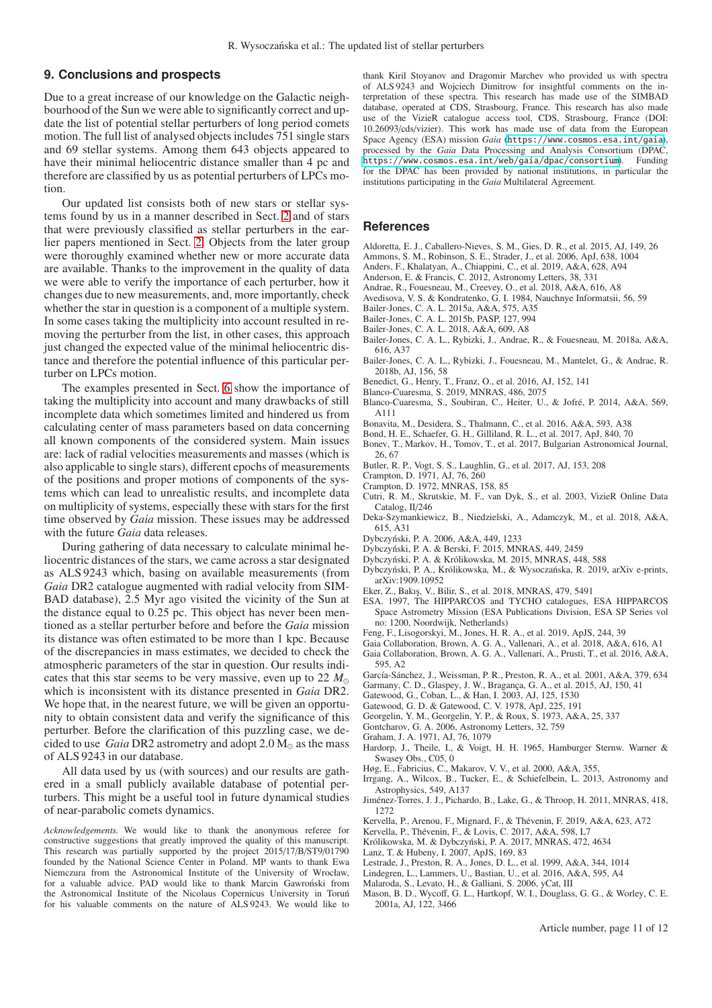# <span id="page-10-1"></span>**9. Conclusions and prospects**

Due to a great increase of our knowledge on the Galactic neighbourhood of the Sun we were able to significantly correct and update the list of potential stellar perturbers of long period comets motion. The full list of analysed objects includes 751 single stars and 69 stellar systems. Among them 643 objects appeared to have their minimal heliocentric distance smaller than 4 pc and therefore are classified by us as potential perturbers of LPCs motion.

Our updated list consists both of new stars or stellar systems found by us in a manner described in Sect. [2](#page-1-0) and of stars that were previously classified as stellar perturbers in the earlier papers mentioned in Sect. [2.](#page-1-0) Objects from the later group were thoroughly examined whether new or more accurate data are available. Thanks to the improvement in the quality of data we were able to verify the importance of each perturber, how it changes due to new measurements, and, more importantly, check whether the star in question is a component of a multiple system. In some cases taking the multiplicity into account resulted in removing the perturber from the list, in other cases, this approach just changed the expected value of the minimal heliocentric distance and therefore the potential influence of this particular perturber on LPCs motion.

The examples presented in Sect. [6](#page-5-0) show the importance of taking the multiplicity into account and many drawbacks of still incomplete data which sometimes limited and hindered us from calculating center of mass parameters based on data concerning all known components of the considered system. Main issues are: lack of radial velocities measurements and masses (which is also applicable to single stars), different epochs of measurements of the positions and proper motions of components of the systems which can lead to unrealistic results, and incomplete data on multiplicity of systems, especially these with stars for the first time observed by *Gaia* mission. These issues may be addressed with the future *Gaia* data releases.

During gathering of data necessary to calculate minimal heliocentric distances of the stars, we came across a star designated as ALS 9243 which, basing on available measurements (from *Gaia* DR2 catalogue augmented with radial velocity from SIM-BAD database), 2.5 Myr ago visited the vicinity of the Sun at the distance equal to 0.25 pc. This object has never been mentioned as a stellar perturber before and before the *Gaia* mission its distance was often estimated to be more than 1 kpc. Because of the discrepancies in mass estimates, we decided to check the atmospheric parameters of the star in question. Our results indicates that this star seems to be very massive, even up to 22  $M_{\odot}$ which is inconsistent with its distance presented in *Gaia* DR2. We hope that, in the nearest future, we will be given an opportunity to obtain consistent data and verify the significance of this perturber. Before the clarification of this puzzling case, we decided to use *Gaia* DR2 astrometry and adopt  $2.0 M_{\odot}$  as the mass of ALS 9243 in our database.

All data used by us (with sources) and our results are gathered in a small publicly available database of potential perturbers. This might be a useful tool in future dynamical studies of near-parabolic comets dynamics.

*Acknowledgements.* We would like to thank the anonymous referee for constructive suggestions that greatly improved the quality of this manuscript. This research was partially supported by the project 2015/17/B/ST9/01790 founded by the National Science Center in Poland. MP wants to thank Ewa Niemczura from the Astronomical Institute of the University of Wrocław, for a valuable advice. PAD would like to thank Marcin Gawroński from the Astronomical Institute of the Nicolaus Copernicus University in Torun´ for his valuable comments on the nature of ALS 9243. We would like to thank Kiril Stoyanov and Dragomir Marchev who provided us with spectra of ALS 9243 and Wojciech Dimitrow for insightful comments on the interpretation of these spectra. This research has made use of the SIMBAD database, operated at CDS, Strasbourg, France. This research has also made use of the VizieR catalogue access tool, CDS, Strasbourg, France (DOI: 10.26093/cds/vizier). This work has made use of data from the European Space Agency (ESA) mission *Gaia* (<https://www.cosmos.esa.int/gaia>), processed by the *Gaia* Data Processing and Analysis Consortium (DPAC, https://www.cosmos.esa.int/web/gaia/dpac/consortium). Funding <https://www.cosmos.esa.int/web/gaia/dpac/consortium>). for the DPAC has been provided by national institutions, in particular the institutions participating in the *Gaia* Multilateral Agreement.

## **References**

- <span id="page-10-23"></span>Aldoretta, E. J., Caballero-Nieves, S. M., Gies, D. R., et al. 2015, AJ, 149, 26
- <span id="page-10-34"></span>Ammons, S. M., Robinson, S. E., Strader, J., et al. 2006, ApJ, 638, 1004
- <span id="page-10-18"></span>Anders, F., Khalatyan, A., Chiappini, C., et al. 2019, A&A, 628, A94
- <span id="page-10-7"></span>Anderson, E. & Francis, C. 2012, Astronomy Letters, 38, 331
- <span id="page-10-21"></span>Andrae, R., Fouesneau, M., Creevey, O., et al. 2018, A&A, 616, A8
- <span id="page-10-33"></span>Avedisova, V. S. & Kondratenko, G. I. 1984, Nauchnye Informatsii, 56, 59
- <span id="page-10-9"></span>Bailer-Jones, C. A. L. 2015a, A&A, 575, A35
- <span id="page-10-16"></span>Bailer-Jones, C. A. L. 2015b, PASP, 127, 994
- <span id="page-10-11"></span>Bailer-Jones, C. A. L. 2018, A&A, 609, A8
- <span id="page-10-14"></span>Bailer-Jones, C. A. L., Rybizki, J., Andrae, R., & Fouesneau, M. 2018a, A&A, 616, A37
- <span id="page-10-15"></span>Bailer-Jones, C. A. L., Rybizki, J., Fouesneau, M., Mantelet, G., & Andrae, R. 2018b, AJ, 156, 58
- <span id="page-10-19"></span>Benedict, G., Henry, T., Franz, O., et al. 2016, AJ, 152, 141
- <span id="page-10-30"></span>Blanco-Cuaresma, S. 2019, MNRAS, 486, 2075
- <span id="page-10-31"></span>Blanco-Cuaresma, S., Soubiran, C., Heiter, U., & Jofré, P. 2014, A&A, 569, A111
- <span id="page-10-46"></span>Bonavita, M., Desidera, S., Thalmann, C., et al. 2016, A&A, 593, A38
- <span id="page-10-42"></span>Bond, H. E., Schaefer, G. H., Gilliland, R. L., et al. 2017, ApJ, 840, 70
- <span id="page-10-29"></span>Bonev, T., Markov, H., Tomov, T., et al. 2017, Bulgarian Astronomical Journal, 26, 67
- <span id="page-10-49"></span>Butler, R. P., Vogt, S. S., Laughlin, G., et al. 2017, AJ, 153, 208
- <span id="page-10-27"></span>Crampton, D. 1971, AJ, 76, 260
- <span id="page-10-28"></span>Crampton, D. 1972, MNRAS, 158, 85
- <span id="page-10-25"></span>Cutri, R. M., Skrutskie, M. F., van Dyk, S., et al. 2003, VizieR Online Data Catalog, II/246
- <span id="page-10-44"></span>Deka-Szymankiewicz, B., Niedzielski, A., Adamczyk, M., et al. 2018, A&A, 615, A31
- <span id="page-10-4"></span>Dybczynski, P. A. 2006, A&A, 449, 1233 ´
- <span id="page-10-8"></span>Dybczynski, P. A. & Berski, F. 2015, MNRAS, 449, 2459 ´
- <span id="page-10-6"></span>Dybczynski, P. A. & Królikowska, M. 2015, MNRAS, 448, 588 ´
- <span id="page-10-47"></span>Dybczyński, P. A., Królikowska, M., & Wysoczańska, R. 2019, arXiv e-prints, arXiv:1909.10952
- <span id="page-10-20"></span>Eker, Z., Bakış, V., Bilir, S., et al. 2018, MNRAS, 479, 5491
- <span id="page-10-3"></span>ESA. 1997, The HIPPARCOS and TYCHO catalogues, ESA HIPPARCOS Space Astrometry Mission (ESA Publications Division, ESA SP Series vol no: 1200, Noordwijk, Netherlands)
- <span id="page-10-48"></span>Feng, F., Lisogorskyi, M., Jones, H. R. A., et al. 2019, ApJS, 244, 39
- <span id="page-10-0"></span>Gaia Collaboration, Brown, A. G. A., Vallenari, A., et al. 2018, A&A, 616, A1
- <span id="page-10-12"></span>Gaia Collaboration, Brown, A. G. A., Vallenari, A., Prusti, T., et al. 2016, A&A, 595, A2
- <span id="page-10-2"></span>García-Sánchez, J., Weissman, P. R., Preston, R. A., et al. 2001, A&A, 379, 634
- <span id="page-10-35"></span>Garmany, C. D., Glaspey, J. W., Bragança, G. A., et al. 2015, AJ, 150, 41
- <span id="page-10-39"></span>Gatewood, G., Coban, L., & Han, I. 2003, AJ, 125, 1530
- <span id="page-10-43"></span>Gatewood, G. D. & Gatewood, C. V. 1978, ApJ, 225, 191
- <span id="page-10-36"></span>Georgelin, Y. M., Georgelin, Y. P., & Roux, S. 1973, A&A, 25, 337
- <span id="page-10-41"></span>Gontcharov, G. A. 2006, Astronomy Letters, 32, 759
- <span id="page-10-26"></span>Graham, J. A. 1971, AJ, 76, 1079
- <span id="page-10-24"></span>Hardorp, J., Theile, I., & Voigt, H. H. 1965, Hamburger Sternw. Warner & Swasey Obs., C05, 0
- <span id="page-10-10"></span>Høg, E., Fabricius, C., Makarov, V. V., et al. 2000, A&A, 355,
- <span id="page-10-17"></span>Irrgang, A., Wilcox, B., Tucker, E., & Schiefelbein, L. 2013, Astronomy and Astrophysics, 549, A137
- <span id="page-10-5"></span>Jiménez-Torres, J. J., Pichardo, B., Lake, G., & Throop, H. 2011, MNRAS, 418, 1272
- <span id="page-10-40"></span>Kervella, P., Arenou, F., Mignard, F., & Thévenin, F. 2019, A&A, 623, A72
- <span id="page-10-45"></span>Kervella, P., Thévenin, F., & Lovis, C. 2017, A&A, 598, L7
- <span id="page-10-50"></span>Królikowska, M. & Dybczyński, P. A. 2017, MNRAS, 472, 4634
- <span id="page-10-32"></span>Lanz, T. & Hubeny, I. 2007, ApJS, 169, 83
- <span id="page-10-37"></span>Lestrade, J., Preston, R. A., Jones, D. L., et al. 1999, A&A, 344, 1014
- <span id="page-10-13"></span>Lindegren, L., Lammers, U., Bastian, U., et al. 2016, A&A, 595, A4
- <span id="page-10-38"></span>Malaroda, S., Levato, H., & Galliani, S. 2006, yCat, III
- <span id="page-10-22"></span>Mason, B. D., Wycoff, G. L., Hartkopf, W. I., Douglass, G. G., & Worley, C. E. 2001a, AJ, 122, 3466

Article number, page 11 of 12